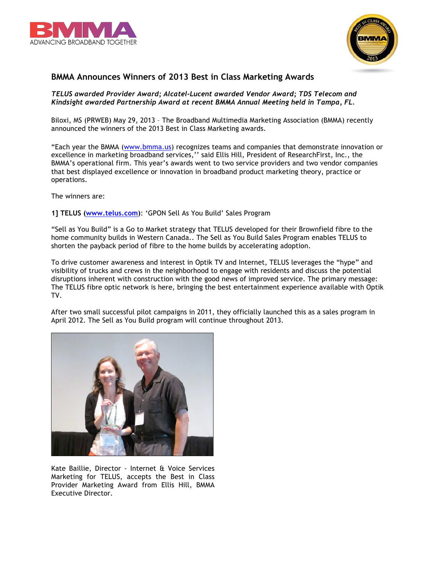



## **BMMA Announces Winners of 2013 Best in Class Marketing Awards**

## *TELUS awarded Provider Award; Alcatel-Lucent awarded Vendor Award; TDS Telecom and Kindsight awarded Partnership Award at recent BMMA Annual Meeting held in Tampa, FL.*

Biloxi, MS (PRWEB) May 29, 2013 – The Broadband Multimedia Marketing Association (BMMA) recently announced the winners of the 2013 Best in Class Marketing awards.

"Each year the BMMA (www.bmma.us) recognizes teams and companies that demonstrate innovation or excellence in marketing broadband services,'' said Ellis Hill, President of ResearchFirst, Inc., the BMMA's operational firm. This year's awards went to two service providers and two vendor companies that best displayed excellence or innovation in broadband product marketing theory, practice or operations.

The winners are:

**1] TELUS (www.telus.com)**: 'GPON Sell As You Build' Sales Program

"Sell as You Build" is a Go to Market strategy that TELUS developed for their Brownfield fibre to the home community builds in Western Canada.. The Sell as You Build Sales Program enables TELUS to shorten the payback period of fibre to the home builds by accelerating adoption.

To drive customer awareness and interest in Optik TV and Internet, TELUS leverages the "hype" and visibility of trucks and crews in the neighborhood to engage with residents and discuss the potential disruptions inherent with construction with the good news of improved service. The primary message: The TELUS fibre optic network is here, bringing the best entertainment experience available with Optik TV.

After two small successful pilot campaigns in 2011, they officially launched this as a sales program in April 2012. The Sell as You Build program will continue throughout 2013.



Kate Baillie, Director - Internet & Voice Services Marketing for TELUS, accepts the Best in Class Provider Marketing Award from Ellis Hill, BMMA Executive Director.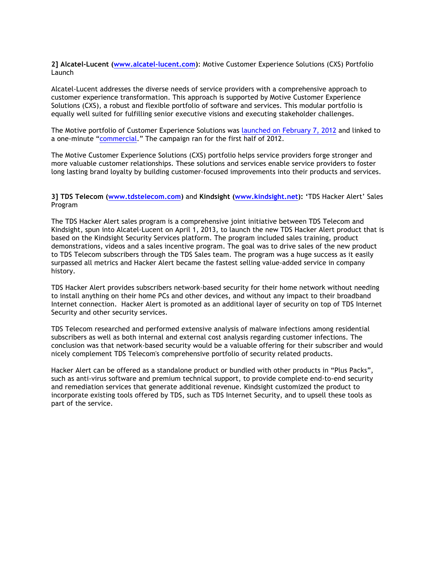**2] Alcatel-Lucent (www.alcatel-lucent.com)**: Motive Customer Experience Solutions (CXS) Portfolio Launch

Alcatel-Lucent addresses the diverse needs of service providers with a comprehensive approach to customer experience transformation. This approach is supported by Motive Customer Experience Solutions (CXS), a robust and flexible portfolio of software and services. This modular portfolio is equally well suited for fulfilling senior executive visions and executing stakeholder challenges.

The Motive portfolio of Customer Experience Solutions was launched on February 7, 2012 and linked to a one-minute "commercial." The campaign ran for the first half of 2012.

The Motive Customer Experience Solutions (CXS) portfolio helps service providers forge stronger and more valuable customer relationships. These solutions and services enable service providers to foster long lasting brand loyalty by building customer-focused improvements into their products and services.

## **3] TDS Telecom (www.tdstelecom.com)** and **Kindsight (www.kindsight.net): '**TDS Hacker Alert' Sales Program

The TDS Hacker Alert sales program is a comprehensive joint initiative between TDS Telecom and Kindsight, spun into Alcatel-Lucent on April 1, 2013, to launch the new TDS Hacker Alert product that is based on the Kindsight Security Services platform. The program included sales training, product demonstrations, videos and a sales incentive program. The goal was to drive sales of the new product to TDS Telecom subscribers through the TDS Sales team. The program was a huge success as it easily surpassed all metrics and Hacker Alert became the fastest selling value-added service in company history.

TDS Hacker Alert provides subscribers network-based security for their home network without needing to install anything on their home PCs and other devices, and without any impact to their broadband Internet connection. Hacker Alert is promoted as an additional layer of security on top of TDS Internet Security and other security services.

TDS Telecom researched and performed extensive analysis of malware infections among residential subscribers as well as both internal and external cost analysis regarding customer infections. The conclusion was that network-based security would be a valuable offering for their subscriber and would nicely complement TDS Telecom's comprehensive portfolio of security related products.

Hacker Alert can be offered as a standalone product or bundled with other products in "Plus Packs", such as anti-virus software and premium technical support, to provide complete end-to-end security and remediation services that generate additional revenue. Kindsight customized the product to incorporate existing tools offered by TDS, such as TDS Internet Security, and to upsell these tools as part of the service.